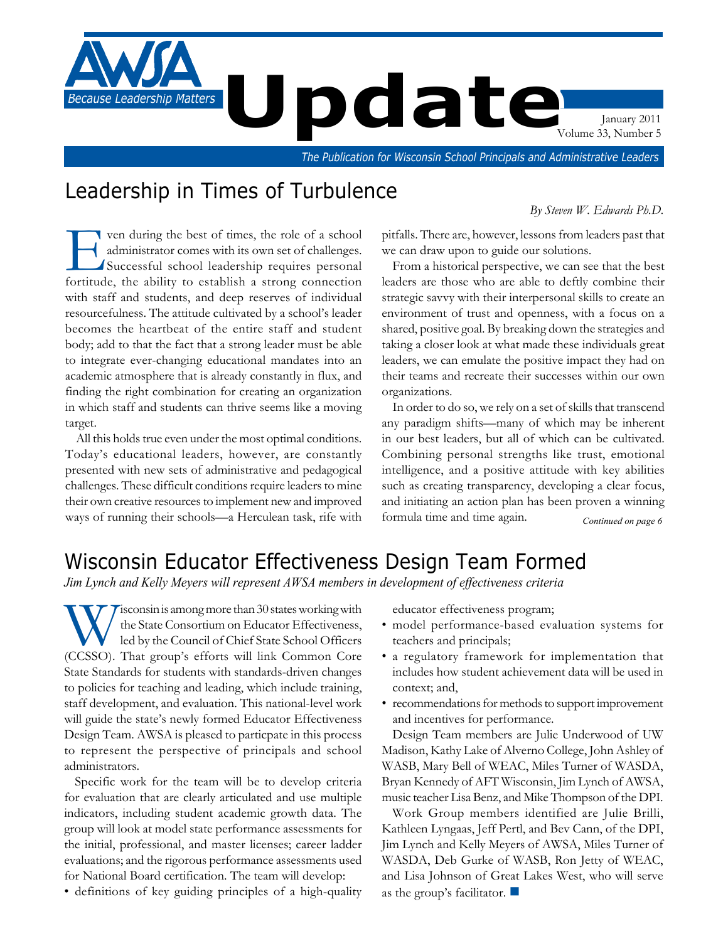

# Leadership in Times of Turbulence

# *By Steven W. Edwards Ph.D.*

ven during the best of times, the role of a school<br>administrator comes with its own set of challenges.<br>Successful school leadership requires personal<br>fortitude the ability to establish a strong connection administrator comes with its own set of challenges. Successful school leadership requires personal fortitude, the ability to establish a strong connection with staff and students, and deep reserves of individual resourcefulness. The attitude cultivated by a school's leader becomes the heartbeat of the entire staff and student body; add to that the fact that a strong leader must be able to integrate ever-changing educational mandates into an academic atmosphere that is already constantly in flux, and finding the right combination for creating an organization in which staff and students can thrive seems like a moving target.

All this holds true even under the most optimal conditions. Today's educational leaders, however, are constantly presented with new sets of administrative and pedagogical challenges. These difficult conditions require leaders to mine their own creative resources to implement new and improved ways of running their schools—a Herculean task, rife with

pitfalls. There are, however, lessons from leaders past that we can draw upon to guide our solutions.

From a historical perspective, we can see that the best leaders are those who are able to deftly combine their strategic savvy with their interpersonal skills to create an environment of trust and openness, with a focus on a shared, positive goal. By breaking down the strategies and taking a closer look at what made these individuals great leaders, we can emulate the positive impact they had on their teams and recreate their successes within our own organizations.

In order to do so, we rely on a set of skills that transcend any paradigm shifts—many of which may be inherent in our best leaders, but all of which can be cultivated. Combining personal strengths like trust, emotional intelligence, and a positive attitude with key abilities such as creating transparency, developing a clear focus, and initiating an action plan has been proven a winning formula time and time again. *Continued on page 6*

# Wisconsin Educator Effectiveness Design Team Formed

*Jim Lynch and Kelly Meyers will represent AWSA members in development of effectiveness criteria*

**W** isconsin is among more than 30 states working with<br>the State Consortium on Educator Effectiveness,<br>led by the Council of Chief State School Officers<br>(CCSSO). That group's efforts will link Common Core the State Consortium on Educator Effectiveness, led by the Council of Chief State School Officers (CCSSO). That group's efforts will link Common Core State Standards for students with standards-driven changes to policies for teaching and leading, which include training, staff development, and evaluation. This national-level work will guide the state's newly formed Educator Effectiveness Design Team. AWSA is pleased to particpate in this process to represent the perspective of principals and school administrators.

Specific work for the team will be to develop criteria for evaluation that are clearly articulated and use multiple indicators, including student academic growth data. The group will look at model state performance assessments for the initial, professional, and master licenses; career ladder evaluations; and the rigorous performance assessments used for National Board certification. The team will develop:

• definitions of key guiding principles of a high-quality

educator effectiveness program;

- model performance-based evaluation systems for teachers and principals;
- a regulatory framework for implementation that includes how student achievement data will be used in context; and,
- recommendations for methods to support improvement and incentives for performance.

Design Team members are Julie Underwood of UW Madison, Kathy Lake of Alverno College, John Ashley of WASB, Mary Bell of WEAC, Miles Turner of WASDA, Bryan Kennedy of AFT Wisconsin, Jim Lynch of AWSA, music teacher Lisa Benz, and Mike Thompson of the DPI.

Work Group members identified are Julie Brilli, Kathleen Lyngaas, Jeff Pertl, and Bev Cann, of the DPI, Jim Lynch and Kelly Meyers of AWSA, Miles Turner of WASDA, Deb Gurke of WASB, Ron Jetty of WEAC, and Lisa Johnson of Great Lakes West, who will serve as the group's facilitator.  $\Box$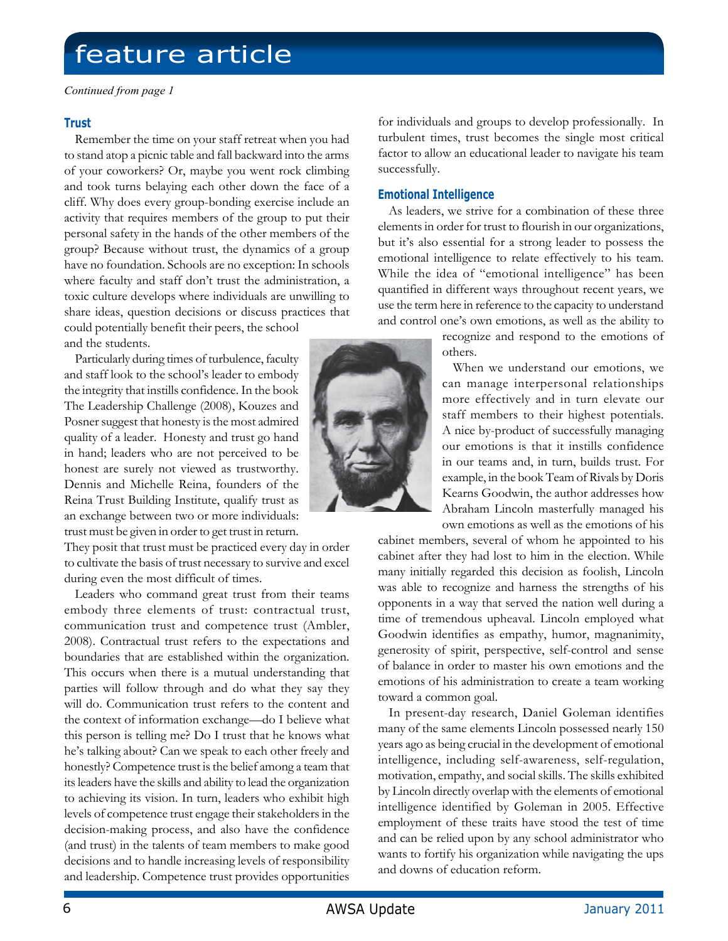# feature article

*Continued from page 1*

### **Trust**

Remember the time on your staff retreat when you had to stand atop a picnic table and fall backward into the arms of your coworkers? Or, maybe you went rock climbing and took turns belaying each other down the face of a cliff. Why does every group-bonding exercise include an activity that requires members of the group to put their personal safety in the hands of the other members of the group? Because without trust, the dynamics of a group have no foundation. Schools are no exception: In schools where faculty and staff don't trust the administration, a toxic culture develops where individuals are unwilling to share ideas, question decisions or discuss practices that could potentially benefit their peers, the school and the students.

Particularly during times of turbulence, faculty and staff look to the school's leader to embody the integrity that instills confidence. In the book The Leadership Challenge (2008), Kouzes and Posner suggest that honesty is the most admired quality of a leader. Honesty and trust go hand in hand; leaders who are not perceived to be honest are surely not viewed as trustworthy. Dennis and Michelle Reina, founders of the Reina Trust Building Institute, qualify trust as an exchange between two or more individuals: trust must be given in order to get trust in return.

They posit that trust must be practiced every day in order to cultivate the basis of trust necessary to survive and excel during even the most difficult of times.

Leaders who command great trust from their teams embody three elements of trust: contractual trust, communication trust and competence trust (Ambler, 2008). Contractual trust refers to the expectations and boundaries that are established within the organization. This occurs when there is a mutual understanding that parties will follow through and do what they say they will do. Communication trust refers to the content and the context of information exchange—do I believe what this person is telling me? Do I trust that he knows what he's talking about? Can we speak to each other freely and honestly? Competence trust is the belief among a team that its leaders have the skills and ability to lead the organization to achieving its vision. In turn, leaders who exhibit high levels of competence trust engage their stakeholders in the decision-making process, and also have the confidence (and trust) in the talents of team members to make good decisions and to handle increasing levels of responsibility and leadership. Competence trust provides opportunities

for individuals and groups to develop professionally. In turbulent times, trust becomes the single most critical factor to allow an educational leader to navigate his team successfully.

## **Emotional Intelligence**

As leaders, we strive for a combination of these three elements in order for trust to flourish in our organizations, but it's also essential for a strong leader to possess the emotional intelligence to relate effectively to his team. While the idea of "emotional intelligence" has been quantified in different ways throughout recent years, we use the term here in reference to the capacity to understand and control one's own emotions, as well as the ability to

> recognize and respond to the emotions of others.

When we understand our emotions, we can manage interpersonal relationships more effectively and in turn elevate our staff members to their highest potentials. A nice by-product of successfully managing our emotions is that it instills confidence in our teams and, in turn, builds trust. For example, in the book Team of Rivals by Doris Kearns Goodwin, the author addresses how Abraham Lincoln masterfully managed his own emotions as well as the emotions of his

cabinet members, several of whom he appointed to his cabinet after they had lost to him in the election. While many initially regarded this decision as foolish, Lincoln was able to recognize and harness the strengths of his opponents in a way that served the nation well during a time of tremendous upheaval. Lincoln employed what Goodwin identifies as empathy, humor, magnanimity, generosity of spirit, perspective, self-control and sense of balance in order to master his own emotions and the emotions of his administration to create a team working toward a common goal.

In present-day research, Daniel Goleman identifies many of the same elements Lincoln possessed nearly 150 years ago as being crucial in the development of emotional intelligence, including self-awareness, self-regulation, motivation, empathy, and social skills. The skills exhibited by Lincoln directly overlap with the elements of emotional intelligence identified by Goleman in 2005. Effective employment of these traits have stood the test of time and can be relied upon by any school administrator who wants to fortify his organization while navigating the ups and downs of education reform.

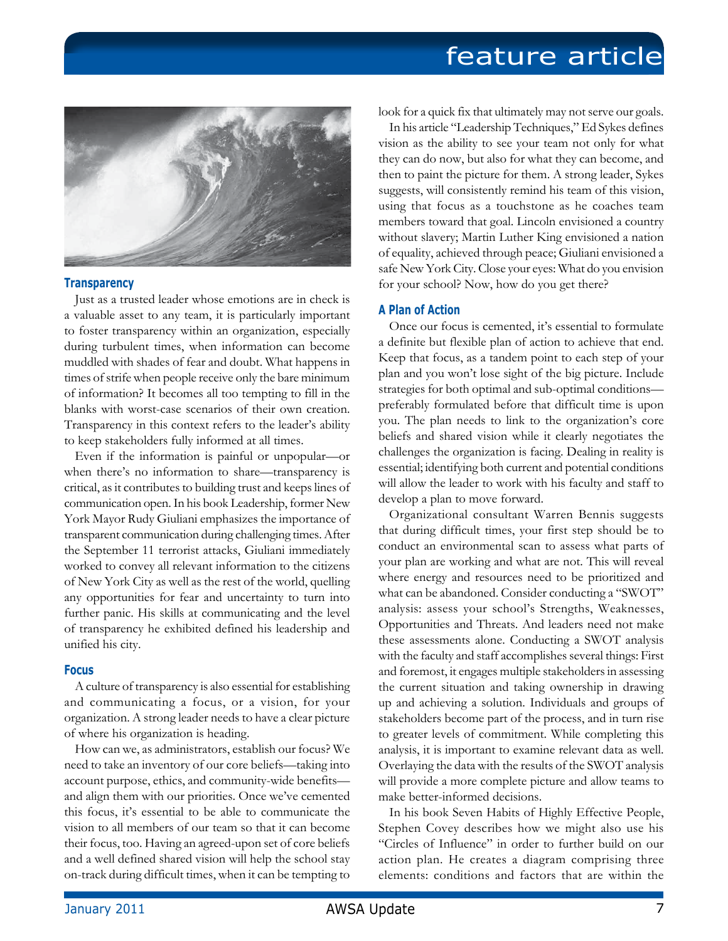# feature article



#### **Transparency**

Just as a trusted leader whose emotions are in check is a valuable asset to any team, it is particularly important to foster transparency within an organization, especially during turbulent times, when information can become muddled with shades of fear and doubt. What happens in times of strife when people receive only the bare minimum of information? It becomes all too tempting to fill in the blanks with worst-case scenarios of their own creation. Transparency in this context refers to the leader's ability to keep stakeholders fully informed at all times.

Even if the information is painful or unpopular—or when there's no information to share—transparency is critical, as it contributes to building trust and keeps lines of communication open. In his book Leadership, former New York Mayor Rudy Giuliani emphasizes the importance of transparent communication during challenging times. After the September 11 terrorist attacks, Giuliani immediately worked to convey all relevant information to the citizens of New York City as well as the rest of the world, quelling any opportunities for fear and uncertainty to turn into further panic. His skills at communicating and the level of transparency he exhibited defined his leadership and unified his city.

#### **Focus**

A culture of transparency is also essential for establishing and communicating a focus, or a vision, for your organization. A strong leader needs to have a clear picture of where his organization is heading.

How can we, as administrators, establish our focus? We need to take an inventory of our core beliefs—taking into account purpose, ethics, and community-wide benefits and align them with our priorities. Once we've cemented this focus, it's essential to be able to communicate the vision to all members of our team so that it can become their focus, too. Having an agreed-upon set of core beliefs and a well defined shared vision will help the school stay on-track during difficult times, when it can be tempting to

look for a quick fix that ultimately may not serve our goals.

In his article "Leadership Techniques," Ed Sykes defines vision as the ability to see your team not only for what they can do now, but also for what they can become, and then to paint the picture for them. A strong leader, Sykes suggests, will consistently remind his team of this vision, using that focus as a touchstone as he coaches team members toward that goal. Lincoln envisioned a country without slavery; Martin Luther King envisioned a nation of equality, achieved through peace; Giuliani envisioned a safe New York City. Close your eyes: What do you envision for your school? Now, how do you get there?

### **A Plan of Action**

Once our focus is cemented, it's essential to formulate a definite but flexible plan of action to achieve that end. Keep that focus, as a tandem point to each step of your plan and you won't lose sight of the big picture. Include strategies for both optimal and sub-optimal conditions preferably formulated before that difficult time is upon you. The plan needs to link to the organization's core beliefs and shared vision while it clearly negotiates the challenges the organization is facing. Dealing in reality is essential; identifying both current and potential conditions will allow the leader to work with his faculty and staff to develop a plan to move forward.

Organizational consultant Warren Bennis suggests that during difficult times, your first step should be to conduct an environmental scan to assess what parts of your plan are working and what are not. This will reveal where energy and resources need to be prioritized and what can be abandoned. Consider conducting a "SWOT" analysis: assess your school's Strengths, Weaknesses, Opportunities and Threats. And leaders need not make these assessments alone. Conducting a SWOT analysis with the faculty and staff accomplishes several things: First and foremost, it engages multiple stakeholders in assessing the current situation and taking ownership in drawing up and achieving a solution. Individuals and groups of stakeholders become part of the process, and in turn rise to greater levels of commitment. While completing this analysis, it is important to examine relevant data as well. Overlaying the data with the results of the SWOT analysis will provide a more complete picture and allow teams to make better-informed decisions.

In his book Seven Habits of Highly Effective People, Stephen Covey describes how we might also use his "Circles of Influence" in order to further build on our action plan. He creates a diagram comprising three elements: conditions and factors that are within the